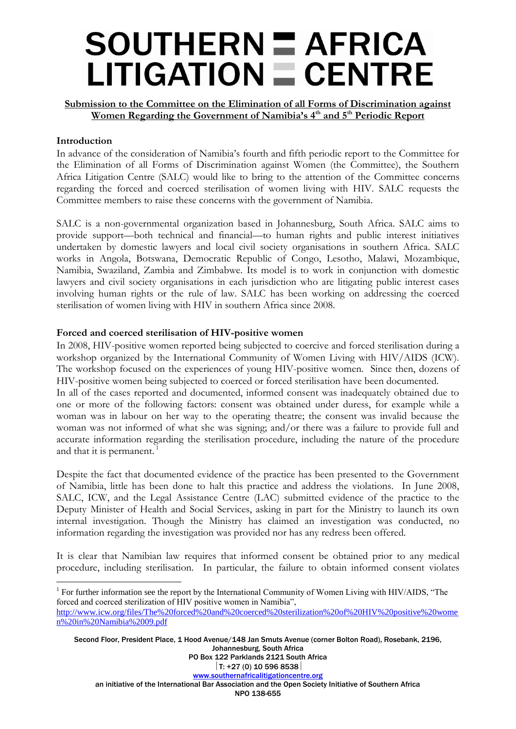### **SOUTHERN = AFRICA**  $LITIGATION \equiv CENTRE$

**Submission to the Committee on the Elimination of all Forms of Discrimination against Women Regarding the Government of Namibia's 4th and 5th Periodic Report**

#### **Introduction**

 $\overline{a}$ 

In advance of the consideration of Namibia's fourth and fifth periodic report to the Committee for the Elimination of all Forms of Discrimination against Women (the Committee), the Southern Africa Litigation Centre (SALC) would like to bring to the attention of the Committee concerns regarding the forced and coerced sterilisation of women living with HIV. SALC requests the Committee members to raise these concerns with the government of Namibia.

SALC is a non-governmental organization based in Johannesburg, South Africa. SALC aims to provide support—both technical and financial—to human rights and public interest initiatives undertaken by domestic lawyers and local civil society organisations in southern Africa. SALC works in Angola, Botswana, Democratic Republic of Congo, Lesotho, Malawi, Mozambique, Namibia, Swaziland, Zambia and Zimbabwe. Its model is to work in conjunction with domestic lawyers and civil society organisations in each jurisdiction who are litigating public interest cases involving human rights or the rule of law. SALC has been working on addressing the coerced sterilisation of women living with HIV in southern Africa since 2008.

#### **Forced and coerced sterilisation of HIV-positive women**

In 2008, HIV-positive women reported being subjected to coercive and forced sterilisation during a workshop organized by the International Community of Women Living with HIV/AIDS (ICW). The workshop focused on the experiences of young HIV-positive women. Since then, dozens of HIV-positive women being subjected to coerced or forced sterilisation have been documented. In all of the cases reported and documented, informed consent was inadequately obtained due to one or more of the following factors: consent was obtained under duress, for example while a woman was in labour on her way to the operating theatre; the consent was invalid because the woman was not informed of what she was signing; and/or there was a failure to provide full and accurate information regarding the sterilisation procedure, including the nature of the procedure and that it is permanent.<sup>1</sup>

Despite the fact that documented evidence of the practice has been presented to the Government of Namibia, little has been done to halt this practice and address the violations. In June 2008, SALC, ICW, and the Legal Assistance Centre (LAC) submitted evidence of the practice to the Deputy Minister of Health and Social Services, asking in part for the Ministry to launch its own internal investigation. Though the Ministry has claimed an investigation was conducted, no information regarding the investigation was provided nor has any redress been offered.

It is clear that Namibian law requires that informed consent be obtained prior to any medical procedure, including sterilisation. In particular, the failure to obtain informed consent violates

Second Floor, President Place, 1 Hood Avenue/148 Jan Smuts Avenue (corner Bolton Road), Rosebank, 2196, Johannesburg, South Africa PO Box 122 Parklands 2121 South Africa  $|T: +27(0)$  10 596 8538 [www.southernafricalitigationcentre.org](http://www.southernafricalitigationcentre.org/) an initiative of the International Bar Association and the Open Society Initiative of Southern Africa NPO 138-655

<sup>&</sup>lt;sup>1</sup> For further information see the report by the International Community of Women Living with HIV/AIDS, "The forced and coerced sterilization of HIV positive women in Namibia", [http://www.icw.org/files/The%20forced%20and%20coerced%20sterilization%20of%20HIV%20positive%20wome](http://www.icw.org/files/The%20forced%20and%20coerced%20sterilization%20of%20HIV%20positive%20women%20in%20Namibia%2009.pdf) [n%20in%20Namibia%2009.pdf](http://www.icw.org/files/The%20forced%20and%20coerced%20sterilization%20of%20HIV%20positive%20women%20in%20Namibia%2009.pdf)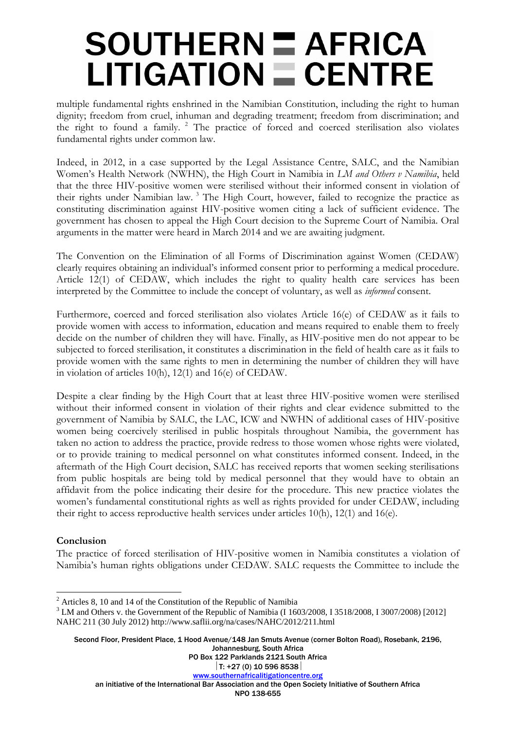## **SOUTHERN = AFRICA**  $LITIGATION = CENTRE$

multiple fundamental rights enshrined in the Namibian Constitution, including the right to human dignity; freedom from cruel, inhuman and degrading treatment; freedom from discrimination; and the right to found a family. <sup>2</sup> The practice of forced and coerced sterilisation also violates fundamental rights under common law.

Indeed, in 2012, in a case supported by the Legal Assistance Centre, SALC, and the Namibian Women's Health Network (NWHN), the High Court in Namibia in *LM and Others v Namibia*, held that the three HIV-positive women were sterilised without their informed consent in violation of their rights under Namibian law.<sup>3</sup> The High Court, however, failed to recognize the practice as constituting discrimination against HIV-positive women citing a lack of sufficient evidence. The government has chosen to appeal the High Court decision to the Supreme Court of Namibia. Oral arguments in the matter were heard in March 2014 and we are awaiting judgment.

The Convention on the Elimination of all Forms of Discrimination against Women (CEDAW) clearly requires obtaining an individual's informed consent prior to performing a medical procedure. Article 12(1) of CEDAW, which includes the right to quality health care services has been interpreted by the Committee to include the concept of voluntary, as well as *informed* consent.

Furthermore, coerced and forced sterilisation also violates Article 16(e) of CEDAW as it fails to provide women with access to information, education and means required to enable them to freely decide on the number of children they will have. Finally, as HIV-positive men do not appear to be subjected to forced sterilisation, it constitutes a discrimination in the field of health care as it fails to provide women with the same rights to men in determining the number of children they will have in violation of articles 10(h), 12(1) and 16(e) of CEDAW.

Despite a clear finding by the High Court that at least three HIV-positive women were sterilised without their informed consent in violation of their rights and clear evidence submitted to the government of Namibia by SALC, the LAC, ICW and NWHN of additional cases of HIV-positive women being coercively sterilised in public hospitals throughout Namibia, the government has taken no action to address the practice, provide redress to those women whose rights were violated, or to provide training to medical personnel on what constitutes informed consent. Indeed, in the aftermath of the High Court decision, SALC has received reports that women seeking sterilisations from public hospitals are being told by medical personnel that they would have to obtain an affidavit from the police indicating their desire for the procedure. This new practice violates the women's fundamental constitutional rights as well as rights provided for under CEDAW, including their right to access reproductive health services under articles 10(h), 12(1) and 16(e).

### **Conclusion**

 $\overline{a}$ 

The practice of forced sterilisation of HIV-positive women in Namibia constitutes a violation of Namibia's human rights obligations under CEDAW. SALC requests the Committee to include the

Second Floor, President Place, 1 Hood Avenue/148 Jan Smuts Avenue (corner Bolton Road), Rosebank, 2196, Johannesburg, South Africa

PO Box 122 Parklands 2121 South Africa

an initiative of the International Bar Association and the Open Society Initiative of Southern Africa

 $2$  Articles 8, 10 and 14 of the Constitution of the Republic of Namibia

<sup>&</sup>lt;sup>3</sup> LM and Others v. the Government of the Republic of Namibia (I 1603/2008, I 3518/2008, I 3007/2008) [2012] NAHC 211 (30 July 2012) http://www.saflii.org/na/cases/NAHC/2012/211.html